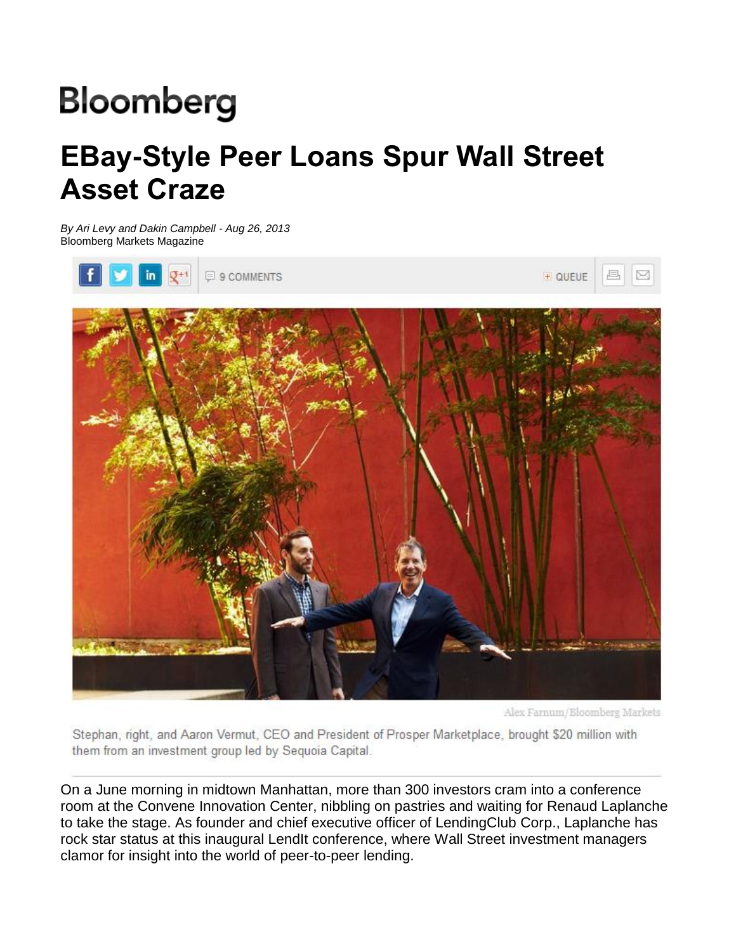# **Bloomberg**

## **EBay-Style Peer Loans Spur Wall Street Asset Craze**

*By Ari Levy and Dakin Campbell - Aug 26, 2013*  Bloomberg Markets Magazine



Alex Farnum/Bloomberg Markets

Stephan, right, and Aaron Vermut, CEO and President of Prosper Marketplace, brought \$20 million with them from an investment group led by Sequoia Capital.

On a June morning in midtown Manhattan, more than 300 investors cram into a conference room at the Convene Innovation Center, nibbling on pastries and waiting for Renaud Laplanche to take the stage. As founder and chief executive officer of LendingClub Corp., Laplanche has rock star status at this inaugural LendIt conference, where Wall Street investment managers clamor for insight into the world of peer-to-peer lending.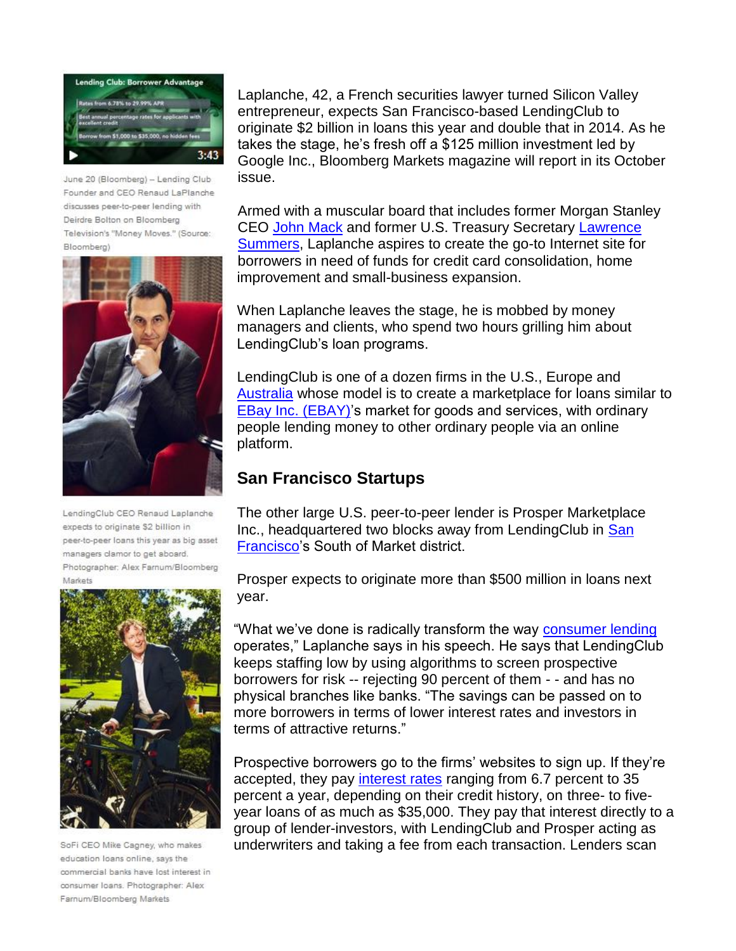

June 20 (Bloomberg) - Lending Club Founder and CEO Renaud LaPlanche discusses peer-to-peer lending with Deirdre Bolton on Bloomberg Television's "Money Moves." (Source: Bloomberg)



LendingClub CEO Renaud Laplanche expects to originate \$2 billion in peer-to-peer loans this year as big asset managers clamor to get aboard. Photographer: Alex Farnum/Bloomberg Markets



SoFi CEO Mike Cagney, who makes education loans online, says the commercial banks have lost interest in consumer loans. Photographer: Alex Farnum/Bloomberg Markets

Laplanche, 42, a French securities lawyer turned Silicon Valley entrepreneur, expects San Francisco-based LendingClub to originate \$2 billion in loans this year and double that in 2014. As he takes the stage, he's fresh off a \$125 million investment led by Google Inc., Bloomberg Markets magazine will report in its October issue.

Armed with a muscular board that includes former Morgan Stanley CEO John Mack and former U.S. Treasury Secretary Lawrence Summers, Laplanche aspires to create the go-to Internet site for borrowers in need of funds for credit card consolidation, home improvement and small-business expansion.

When Laplanche leaves the stage, he is mobbed by money managers and clients, who spend two hours grilling him about LendingClub's loan programs.

LendingClub is one of a dozen firms in the U.S., Europe and Australia whose model is to create a marketplace for loans similar to EBay Inc. (EBAY)'s market for goods and services, with ordinary people lending money to other ordinary people via an online platform.

#### **San Francisco Startups**

The other large U.S. peer-to-peer lender is Prosper Marketplace Inc., headquartered two blocks away from LendingClub in San Francisco's South of Market district.

Prosper expects to originate more than \$500 million in loans next year.

"What we've done is radically transform the way consumer lending operates," Laplanche says in his speech. He says that LendingClub keeps staffing low by using algorithms to screen prospective borrowers for risk -- rejecting 90 percent of them - - and has no physical branches like banks. "The savings can be passed on to more borrowers in terms of lower interest rates and investors in terms of attractive returns."

Prospective borrowers go to the firms' websites to sign up. If they're accepted, they pay interest rates ranging from 6.7 percent to 35 percent a year, depending on their credit history, on three- to fiveyear loans of as much as \$35,000. They pay that interest directly to a group of lender-investors, with LendingClub and Prosper acting as underwriters and taking a fee from each transaction. Lenders scan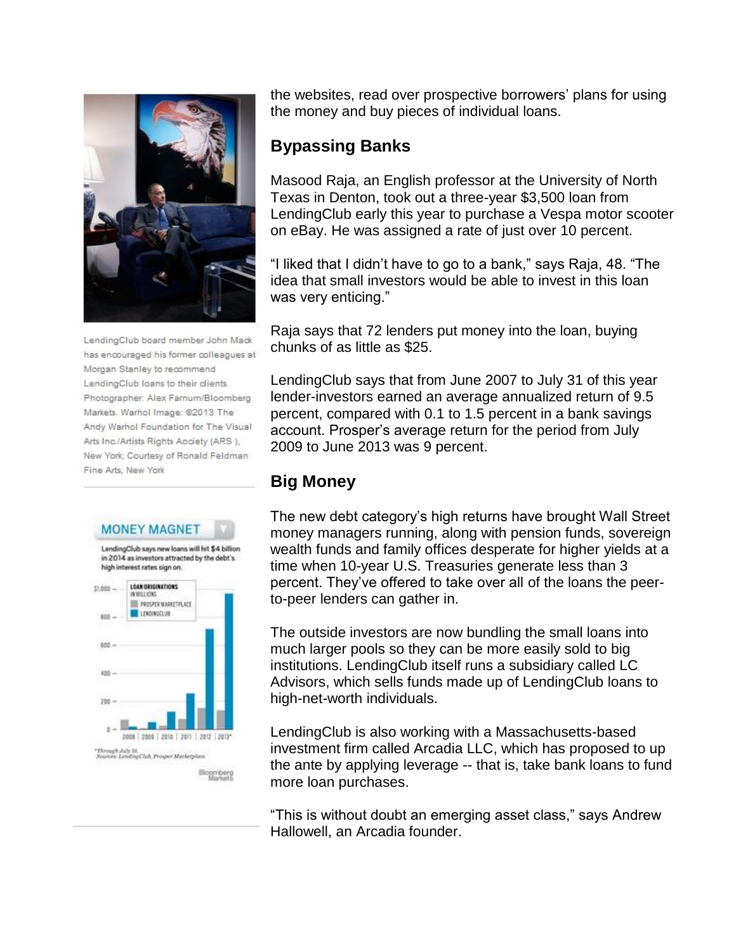

LendingClub board member John Mack has encouraged his former colleagues at Morgan Stanley to recommend LendingClub loans to their clients. Photographer: Alex Farnum/Bloomberg Markets. Warhol Image: @2013 The Andy Warhol Foundation for The Visual Arts Inc./Artists Rights Aociety (ARS ), New York; Courtesy of Ronald Feldman Fine Arts, New York





the websites, read over prospective borrowers' plans for using the money and buy pieces of individual loans.

#### **Bypassing Banks**

Masood Raja, an English professor at the University of North Texas in Denton, took out a three-year \$3,500 loan from LendingClub early this year to purchase a Vespa motor scooter on eBay. He was assigned a rate of just over 10 percent.

"I liked that I didn't have to go to a bank," says Raja, 48. "The idea that small investors would be able to invest in this loan was very enticing."

Raja says that 72 lenders put money into the loan, buying chunks of as little as \$25.

LendingClub says that from June 2007 to July 31 of this year lender-investors earned an average annualized return of 9.5 percent, compared with 0.1 to 1.5 percent in a bank savings account. Prosper's average return for the period from July 2009 to June 2013 was 9 percent.

### **Big Money**

The new debt category's high returns have brought Wall Street money managers running, along with pension funds, sovereign wealth funds and family offices desperate for higher yields at a time when 10-year U.S. Treasuries generate less than 3 percent. They've offered to take over all of the loans the peerto-peer lenders can gather in.

The outside investors are now bundling the small loans into much larger pools so they can be more easily sold to big institutions. LendingClub itself runs a subsidiary called LC Advisors, which sells funds made up of LendingClub loans to high-net-worth individuals.

LendingClub is also working with a Massachusetts-based investment firm called Arcadia LLC, which has proposed to up the ante by applying leverage -- that is, take bank loans to fund more loan purchases.

"This is without doubt an emerging asset class," says Andrew Hallowell, an Arcadia founder.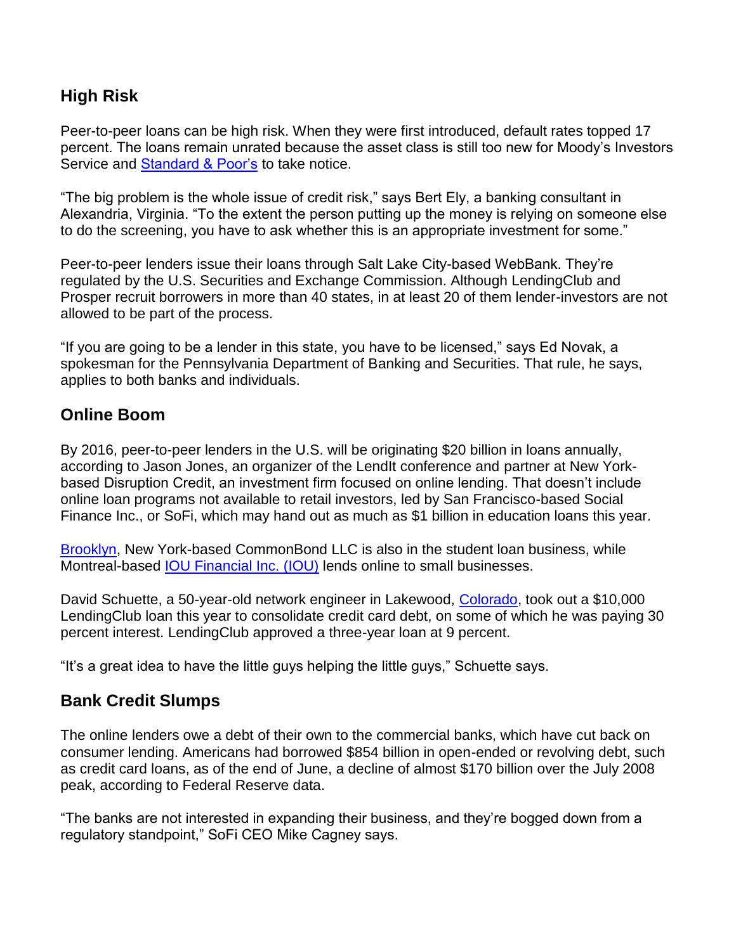#### **High Risk**

Peer-to-peer loans can be high risk. When they were first introduced, default rates topped 17 percent. The loans remain unrated because the asset class is still too new for Moody's Investors Service and Standard & Poor's to take notice.

"The big problem is the whole issue of credit risk," says Bert Ely, a banking consultant in Alexandria, Virginia. "To the extent the person putting up the money is relying on someone else to do the screening, you have to ask whether this is an appropriate investment for some."

Peer-to-peer lenders issue their loans through Salt Lake City-based WebBank. They're regulated by the U.S. Securities and Exchange Commission. Although LendingClub and Prosper recruit borrowers in more than 40 states, in at least 20 of them lender-investors are not allowed to be part of the process.

"If you are going to be a lender in this state, you have to be licensed," says Ed Novak, a spokesman for the Pennsylvania Department of Banking and Securities. That rule, he says, applies to both banks and individuals.

#### **Online Boom**

By 2016, peer-to-peer lenders in the U.S. will be originating \$20 billion in loans annually, according to Jason Jones, an organizer of the LendIt conference and partner at New Yorkbased Disruption Credit, an investment firm focused on online lending. That doesn't include online loan programs not available to retail investors, led by San Francisco-based Social Finance Inc., or SoFi, which may hand out as much as \$1 billion in education loans this year.

Brooklyn, New York-based CommonBond LLC is also in the student loan business, while Montreal-based IOU Financial Inc. (IOU) lends online to small businesses.

David Schuette, a 50-year-old network engineer in Lakewood, Colorado, took out a \$10,000 LendingClub loan this year to consolidate credit card debt, on some of which he was paying 30 percent interest. LendingClub approved a three-year loan at 9 percent.

"It's a great idea to have the little guys helping the little guys," Schuette says.

#### **Bank Credit Slumps**

The online lenders owe a debt of their own to the commercial banks, which have cut back on consumer lending. Americans had borrowed \$854 billion in open-ended or revolving debt, such as credit card loans, as of the end of June, a decline of almost \$170 billion over the July 2008 peak, according to Federal Reserve data.

"The banks are not interested in expanding their business, and they're bogged down from a regulatory standpoint," SoFi CEO Mike Cagney says.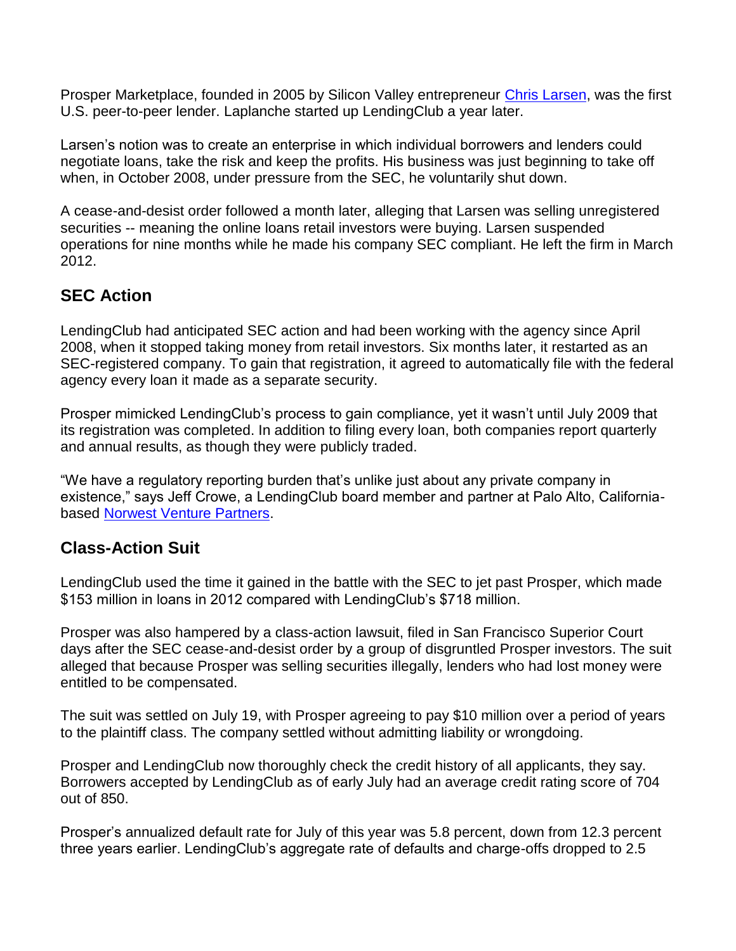Prosper Marketplace, founded in 2005 by Silicon Valley entrepreneur Chris Larsen, was the first U.S. peer-to-peer lender. Laplanche started up LendingClub a year later.

Larsen's notion was to create an enterprise in which individual borrowers and lenders could negotiate loans, take the risk and keep the profits. His business was just beginning to take off when, in October 2008, under pressure from the SEC, he voluntarily shut down.

A cease-and-desist order followed a month later, alleging that Larsen was selling unregistered securities -- meaning the online loans retail investors were buying. Larsen suspended operations for nine months while he made his company SEC compliant. He left the firm in March 2012.

#### **SEC Action**

LendingClub had anticipated SEC action and had been working with the agency since April 2008, when it stopped taking money from retail investors. Six months later, it restarted as an SEC-registered company. To gain that registration, it agreed to automatically file with the federal agency every loan it made as a separate security.

Prosper mimicked LendingClub's process to gain compliance, yet it wasn't until July 2009 that its registration was completed. In addition to filing every loan, both companies report quarterly and annual results, as though they were publicly traded.

"We have a regulatory reporting burden that's unlike just about any private company in existence," says Jeff Crowe, a LendingClub board member and partner at Palo Alto, Californiabased Norwest Venture Partners.

#### **Class-Action Suit**

LendingClub used the time it gained in the battle with the SEC to jet past Prosper, which made \$153 million in loans in 2012 compared with LendingClub's \$718 million.

Prosper was also hampered by a class-action lawsuit, filed in San Francisco Superior Court days after the SEC cease-and-desist order by a group of disgruntled Prosper investors. The suit alleged that because Prosper was selling securities illegally, lenders who had lost money were entitled to be compensated.

The suit was settled on July 19, with Prosper agreeing to pay \$10 million over a period of years to the plaintiff class. The company settled without admitting liability or wrongdoing.

Prosper and LendingClub now thoroughly check the credit history of all applicants, they say. Borrowers accepted by LendingClub as of early July had an average credit rating score of 704 out of 850.

Prosper's annualized default rate for July of this year was 5.8 percent, down from 12.3 percent three years earlier. LendingClub's aggregate rate of defaults and charge-offs dropped to 2.5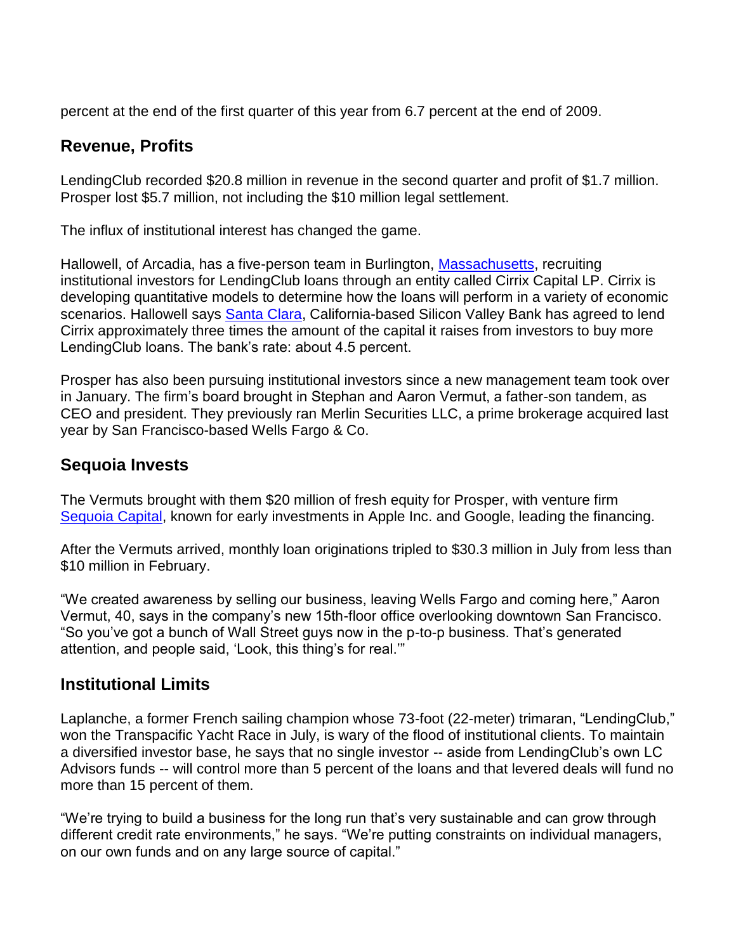percent at the end of the first quarter of this year from 6.7 percent at the end of 2009.

#### **Revenue, Profits**

LendingClub recorded \$20.8 million in revenue in the second quarter and profit of \$1.7 million. Prosper lost \$5.7 million, not including the \$10 million legal settlement.

The influx of institutional interest has changed the game.

Hallowell, of Arcadia, has a five-person team in Burlington, Massachusetts, recruiting institutional investors for LendingClub loans through an entity called Cirrix Capital LP. Cirrix is developing quantitative models to determine how the loans will perform in a variety of economic scenarios. Hallowell says **Santa Clara**, California-based Silicon Valley Bank has agreed to lend Cirrix approximately three times the amount of the capital it raises from investors to buy more LendingClub loans. The bank's rate: about 4.5 percent.

Prosper has also been pursuing institutional investors since a new management team took over in January. The firm's board brought in Stephan and Aaron Vermut, a father-son tandem, as CEO and president. They previously ran Merlin Securities LLC, a prime brokerage acquired last year by San Francisco-based Wells Fargo & Co.

#### **Sequoia Invests**

The Vermuts brought with them \$20 million of fresh equity for Prosper, with venture firm Sequoia Capital, known for early investments in Apple Inc. and Google, leading the financing.

After the Vermuts arrived, monthly loan originations tripled to \$30.3 million in July from less than \$10 million in February.

"We created awareness by selling our business, leaving Wells Fargo and coming here," Aaron Vermut, 40, says in the company's new 15th-floor office overlooking downtown San Francisco. "So you've got a bunch of Wall Street guys now in the p-to-p business. That's generated attention, and people said, 'Look, this thing's for real.'"

#### **Institutional Limits**

Laplanche, a former French sailing champion whose 73-foot (22-meter) trimaran, "LendingClub," won the Transpacific Yacht Race in July, is wary of the flood of institutional clients. To maintain a diversified investor base, he says that no single investor -- aside from LendingClub's own LC Advisors funds -- will control more than 5 percent of the loans and that levered deals will fund no more than 15 percent of them.

"We're trying to build a business for the long run that's very sustainable and can grow through different credit rate environments," he says. "We're putting constraints on individual managers, on our own funds and on any large source of capital."